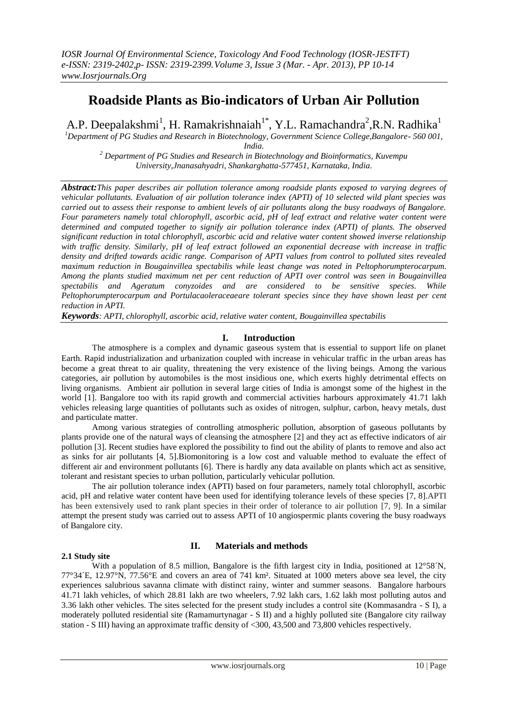# **Roadside Plants as Bio-indicators of Urban Air Pollution**

A.P. Deepalakshmi<sup>1</sup>, H. Ramakrishnaiah<sup>1\*</sup>, Y.L. Ramachandra<sup>2</sup>, R.N. Radhika<sup>1</sup>

*<sup>1</sup>Department of PG Studies and Research in Biotechnology, Government Science College,Bangalore- 560 001,* 

*India.*

*<sup>2</sup> Department of PG Studies and Research in Biotechnology and Bioinformatics, Kuvempu University,Jnanasahyadri, Shankarghatta-577451, Karnataka, India.*

*Abstract:This paper describes air pollution tolerance among roadside plants exposed to varying degrees of vehicular pollutants. Evaluation of air pollution tolerance index (APTI) of 10 selected wild plant species was carried out to assess their response to ambient levels of air pollutants along the busy roadways of Bangalore. Four parameters namely total chlorophyll, ascorbic acid, pH of leaf extract and relative water content were determined and computed together to signify air pollution tolerance index (APTI) of plants. The observed significant reduction in total chlorophyll, ascorbic acid and relative water content showed inverse relationship with traffic density. Similarly, pH of leaf extract followed an exponential decrease with increase in traffic density and drifted towards acidic range. Comparison of APTI values from control to polluted sites revealed maximum reduction in Bougainvillea spectabilis while least change was noted in Peltophorumpterocarpum. Among the plants studied maximum net per cent reduction of APTI over control was seen in Bougainvillea spectabilis and Ageratum conyzoides and are considered to be sensitive species. While Peltophorumpterocarpum and Portulacaoleraceaeare tolerant species since they have shown least per cent reduction in APTI.*

*Keywords: APTI, chlorophyll, ascorbic acid, relative water content, Bougainvillea spectabilis*

# **I. Introduction**

The atmosphere is a complex and dynamic gaseous system that is essential to support life on planet Earth. Rapid industrialization and urbanization coupled with increase in vehicular traffic in the urban areas has become a great threat to air quality, threatening the very existence of the living beings. Among the various categories, air pollution by automobiles is the most insidious one, which exerts highly detrimental effects on living organisms. Ambient air pollution in several large cities of India is amongst some of the highest in the world [1]. Bangalore too with its rapid growth and commercial activities harbours approximately 41.71 lakh vehicles releasing large quantities of pollutants such as oxides of nitrogen, sulphur, carbon, heavy metals, dust and particulate matter.

Among various strategies of controlling atmospheric pollution, absorption of gaseous pollutants by plants provide one of the natural ways of cleansing the atmosphere [2] and they act as effective indicators of air pollution [3]. Recent studies have explored the possibility to find out the ability of plants to remove and also act as sinks for air pollutants [4, 5].Biomonitoring is a low cost and valuable method to evaluate the effect of different air and environment pollutants [6]. There is hardly any data available on plants which act as sensitive, tolerant and resistant species to urban pollution, particularly vehicular pollution.

The air pollution tolerance index (APTI) based on four parameters, namely total chlorophyll, ascorbic acid, pH and relative water content have been used for identifying tolerance levels of these species [7, 8].APTI has been extensively used to rank plant species in their order of tolerance to air pollution [7, 9]. In a similar attempt the present study was carried out to assess APTI of 10 angiospermic plants covering the busy roadways of Bangalore city.

## **2.1 Study site**

# **II. Materials and methods**

With a population of 8.5 million, Bangalore is the fifth largest city in India, positioned at 12°58<sup> $\gamma$ </sup>, 77°34´E, 12.97°N, 77.56°E and covers an area of 741 km². Situated at 1000 meters above sea level, the city experiences salubrious savanna climate with distinct rainy, winter and summer seasons. Bangalore harbours 41.71 lakh vehicles, of which 28.81 lakh are two wheelers, 7.92 lakh cars, 1.62 lakh most polluting autos and 3.36 lakh other vehicles. The sites selected for the present study includes a control site (Kommasandra - S I), a moderately polluted residential site (Ramamurtynagar - S II) and a highly polluted site (Bangalore city railway station - S III) having an approximate traffic density of <300, 43,500 and 73,800 vehicles respectively.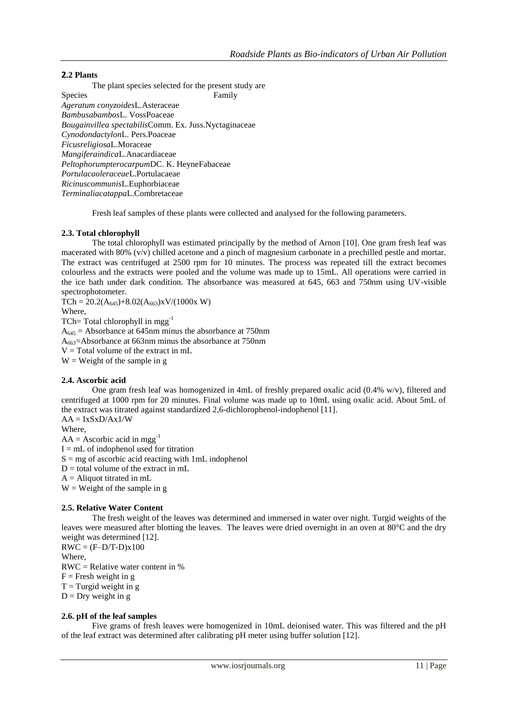## **2.2 Plants**

The plant species selected for the present study are Species Family *Ageratum conyzoides*L.Asteraceae *Bambusabambos*L. VossPoaceae *Bougainvillea spectabilis*Comm. Ex. Juss.Nyctaginaceae *Cynodondactylon*L. Pers.Poaceae *Ficusreligiosa*L.Moraceae *Mangiferaindica*L.Anacardiaceae *Peltophorumpterocarpum*DC. K. HeyneFabaceae *Portulacaoleraceae*L.Portulacaeae *Ricinuscommunis*L.Euphorbiaceae *Terminaliacatappa*L.Combretaceae

Fresh leaf samples of these plants were collected and analysed for the following parameters.

## **2.3. Total chlorophyll**

The total chlorophyll was estimated principally by the method of Arnon [10]. One gram fresh leaf was macerated with 80% (v/v) chilled acetone and a pinch of magnesium carbonate in a prechilled pestle and mortar. The extract was centrifuged at 2500 rpm for 10 minutes. The process was repeated till the extract becomes colourless and the extracts were pooled and the volume was made up to 15mL. All operations were carried in the ice bath under dark condition. The absorbance was measured at 645, 663 and 750nm using UV-visible spectrophotometer.

 $TCh = 20.2(A_{645})+8.02(A_{663})xV/(1000x W)$ Where, TCh= Total chlorophyll in mgg<sup>-1</sup>  $A_{645}$  = Absorbance at 645nm minus the absorbance at 750nm A663=Absorbance at 663nm minus the absorbance at 750nm  $V = Total volume of the extract in mL$  $W = Weight of the sample in g$ 

#### **2.4. Ascorbic acid**

One gram fresh leaf was homogenized in 4mL of freshly prepared oxalic acid (0.4% w/v), filtered and centrifuged at 1000 rpm for 20 minutes. Final volume was made up to 10mL using oxalic acid. About 5mL of the extract was titrated against standardized 2,6-dichlorophenol-indophenol [11].

 $AA = IxSxD/Ax1/W$ 

Where,

 $AA = Ascorbic acid in meg<sup>-1</sup>$ 

 $I = mL$  of indophenol used for titration

 $S = mg$  of ascorbic acid reacting with 1mL indophenol

 $D =$  total volume of the extract in mL

 $A =$  Aliquot titrated in mL

 $W = Weight of the sample in g$ 

#### **2.5. Relative Water Content**

The fresh weight of the leaves was determined and immersed in water over night. Turgid weights of the leaves were measured after blotting the leaves. The leaves were dried overnight in an oven at 80°C and the dry weight was determined [12].

 $RWC = (F-D/T-D)x100$ Where, RWC = Relative water content in %

 $F =$  Fresh weight in g

 $T = Turgid weight in g$ 

 $D = Dry$  weight in g

# **2.6. pH of the leaf samples**

Five grams of fresh leaves were homogenized in 10mL deionised water. This was filtered and the pH of the leaf extract was determined after calibrating pH meter using buffer solution [12].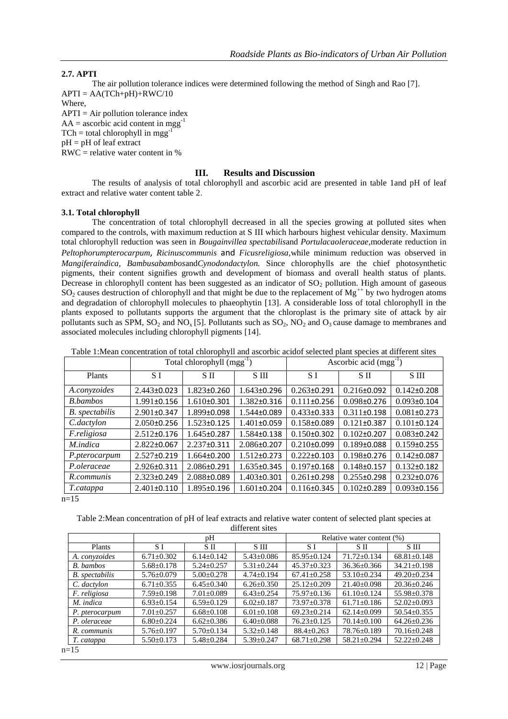## **2.7. APTI**

The air pollution tolerance indices were determined following the method of Singh and Rao [7].  $APTI = AA(TCh+pH)+RWC/10$ Where,

 $APTI = Air$  pollution tolerance index  $AA =$  ascorbic acid content in mgg<sup>-1</sup>  $TCh = total chlorophyll in mag^{-1}$ pH = pH of leaf extract

RWC = relative water content in %

#### **III. Results and Discussion**

The results of analysis of total chlorophyll and ascorbic acid are presented in table 1and pH of leaf extract and relative water content table 2.

#### **3.1. Total chlorophyll**

The concentration of total chlorophyll decreased in all the species growing at polluted sites when compared to the controls, with maximum reduction at S III which harbours highest vehicular density. Maximum total chlorophyll reduction was seen in *Bougainvillea spectabilis*and *Portulacaoleraceae,*moderate reduction in *Peltophorumpterocarpum*, *Ricinuscommunis* and *Ficusreligiosa,*while minimum reduction was observed in *Mangiferaindica, Bambusabambos*and*Cynodondactylon.* Since chlorophylls are the chief photosynthetic pigments, their content signifies growth and development of biomass and overall health status of plants. Decrease in chlorophyll content has been suggested as an indicator of  $SO<sub>2</sub>$  pollution. High amount of gaseous  $SO_2$  causes destruction of chlorophyll and that might be due to the replacement of  $Mg^{++}$  by two hydrogen atoms and degradation of chlorophyll molecules to phaeophytin [13]. A considerable loss of total chlorophyll in the plants exposed to pollutants supports the argument that the chloroplast is the primary site of attack by air pollutants such as SPM,  $SO_2$  and  $NO_x$  [5]. Pollutants such as  $SO_2$ ,  $NO_2$  and  $O_3$  cause damage to membranes and associated molecules including chlorophyll pigments [14].

|                  | Total chlorophyll $(mgg^{-1})$ |                   |                   | Ascorbic acid $(mgg^{-1})$ |                   |                   |
|------------------|--------------------------------|-------------------|-------------------|----------------------------|-------------------|-------------------|
| Plants           | S I                            | S II              | S III             | S I                        | S II              | S III             |
| A.conyzoides     | $2.443 \pm 0.023$              | 1.823±0.260       | $1.643\pm0.296$   | $0.263 \pm 0.291$          | $0.216 \pm 0.092$ | $0.142 \pm 0.208$ |
| <b>B.</b> bambos | $1.991 \pm 0.156$              | $1.610\pm0.301$   | 1.382±0.316       | $0.111 \pm 0.256$          | $0.098 \pm 0.276$ | $0.093 \pm 0.104$ |
| B. spectabilis   | $2.901 \pm 0.347$              | $1.899 \pm 0.098$ | $1.544 \pm 0.089$ | $0.433 \pm 0.333$          | $0.311 \pm 0.198$ | $0.081 \pm 0.273$ |
| C.dactylon       | $2.050\pm0.256$                | 1.523±0.125       | $1.401 \pm 0.059$ | $0.158 \pm 0.089$          | $0.121 \pm 0.387$ | $0.101 \pm 0.124$ |
| F.religiosa      | $2.512 \pm 0.176$              | 1.645±0.287       | 1.584±0.138       | $0.150 \pm 0.302$          | $0.102 \pm 0.207$ | $0.083 \pm 0.242$ |
| M.indica         | $2.822 \pm 0.067$              | $2.237 \pm 0.311$ | $2.086 \pm 0.207$ | $0.210 \pm 0.099$          | $0.189 \pm 0.088$ | $0.159 \pm 0.255$ |
| P.pterocarpum    | $2.527 \pm 0.219$              | $1.664\pm0.200$   | 1.512±0.273       | $0.222 \pm 0.103$          | $0.198 \pm 0.276$ | $0.142 \pm 0.087$ |
| P.oleraceae      | 2.926±0.311                    | 2.086±0.291       | $1.635 \pm 0.345$ | $0.197 + 0.168$            | $0.148 \pm 0.157$ | $0.132 \pm 0.182$ |
| R.communis       | $2.323 \pm 0.249$              | 2.088±0.089       | 1.403±0.301       | $0.261 \pm 0.298$          | $0.255 \pm 0.298$ | $0.232 \pm 0.076$ |
| T.catappa        | $2.401 \pm 0.110$              | 1.895±0.196       | $1.601 \pm 0.204$ | $0.116 \pm 0.345$          | $0.102 \pm 0.289$ | $0.093 \pm 0.156$ |

 $n=15$ 

Table 2:Mean concentration of pH of leaf extracts and relative water content of selected plant species at different sites

|                       | pΗ               |                  |                  | Relative water content (%) |                   |                   |
|-----------------------|------------------|------------------|------------------|----------------------------|-------------------|-------------------|
| <b>Plants</b>         | S I              | S II             | S III            | S I                        | S II              | S III             |
| A. conyzoides         | $6.71 \pm 0.302$ | $6.14 \pm 0.142$ | $5.43 \pm 0.086$ | $85.95 \pm 0.124$          | $71.72 \pm 0.134$ | $68.81 \pm 0.148$ |
| B. bambos             | $5.68 \pm 0.178$ | $5.24 \pm 0.257$ | $5.31 \pm 0.244$ | $45.37 \pm 0.323$          | $36.36 \pm 0.366$ | $34.21 \pm 0.198$ |
| <b>B.</b> spectabilis | $5.76 \pm 0.079$ | $5.00 \pm 0.278$ | $4.74 \pm 0.194$ | $67.41 \pm 0.258$          | $53.10 \pm 0.234$ | $49.20 \pm 0.234$ |
| C. dactylon           | $6.71 \pm 0.355$ | $6.45 \pm 0.340$ | $6.26 \pm 0.350$ | $25.12 \pm 0.209$          | $21.40\pm0.098$   | $20.36 \pm 0.246$ |
| F. religiosa          | $7.59 \pm 0.198$ | $7.01 \pm 0.089$ | $6.43 \pm 0.254$ | $75.97 \pm 0.136$          | $61.10 \pm 0.124$ | $55.98 \pm 0.378$ |
| M. indica             | $6.93 \pm 0.154$ | $6.59 \pm 0.129$ | $6.02 \pm 0.187$ | $73.97 \pm 0.378$          | $61.71 \pm 0.186$ | $52.02 \pm 0.093$ |
| P. pterocarpum        | $7.01 \pm 0.257$ | $6.68 \pm 0.108$ | $6.01 \pm 0.108$ | $69.23 \pm 0.214$          | $62.14+0.099$     | $50.54 \pm 0.355$ |
| P. oleraceae          | $6.80 \pm 0.224$ | $6.62 \pm 0.386$ | $6.40 \pm 0.088$ | $76.23 \pm 0.125$          | $70.14 \pm 0.100$ | $64.26 \pm 0.236$ |
| R. communis           | $5.76 \pm 0.197$ | $5.70 \pm 0.134$ | $5.32 \pm 0.148$ | $88.4 \pm 0.263$           | 78.76±0.189       | $70.16 \pm 0.248$ |
| T. catappa            | $5.50 \pm 0.173$ | $5.48 \pm 0.284$ | $5.39 \pm 0.247$ | $68.71 \pm 0.298$          | $58.21 \pm 0.294$ | $52.22 \pm 0.248$ |

 $n=15$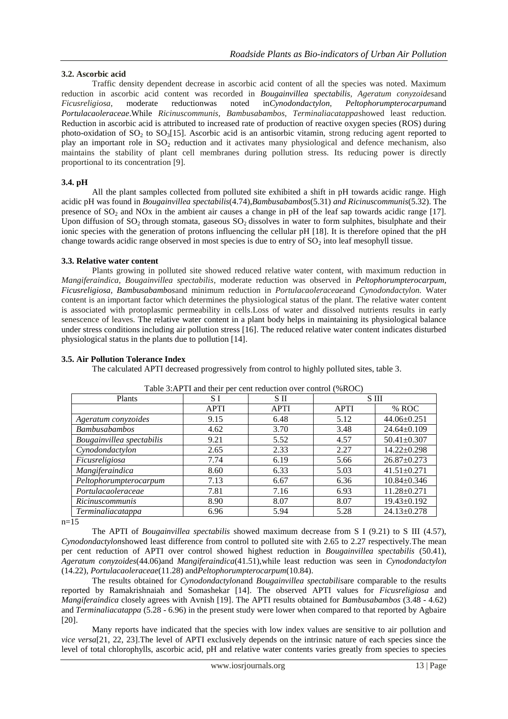#### **3.2. Ascorbic acid**

Traffic density dependent decrease in ascorbic acid content of all the species was noted. Maximum reduction in ascorbic acid content was recorded in *Bougainvillea spectabilis, Ageratum conyzoides*and *Ficusreligiosa*, moderate reductionwas noted in*Cynodondactylon*, *Peltophorumpterocarpum*and *Portulacaoleraceae*.While *Ricinuscommunis, Bambusabambos, Terminaliacatappa*showed least reduction*.* Reduction in ascorbic acid is attributed to increased rate of production of reactive oxygen species (ROS) during photo-oxidation of  $SO_2$  to  $SO_3[15]$ . Ascorbic acid is an antisorbic vitamin, strong reducing agent reported to play an important role in  $SO_2$  reduction and it activates many physiological and defence mechanism, also maintains the stability of plant cell membranes during pollution stress. Its reducing power is directly proportional to its concentration [9].

#### **3.4. pH**

All the plant samples collected from polluted site exhibited a shift in pH towards acidic range. High acidic pH was found in *Bougainvillea spectabilis*(4.74),*Bambusabambos*(5.31) *and Ricinuscommunis*(5.32). The presence of  $SO_2$  and NOx in the ambient air causes a change in pH of the leaf sap towards acidic range [17]. Upon diffusion of  $SO_2$  through stomata, gaseous  $SO_2$  dissolves in water to form sulphites, bisulphate and their ionic species with the generation of protons influencing the cellular pH [18]. It is therefore opined that the pH change towards acidic range observed in most species is due to entry of  $SO<sub>2</sub>$  into leaf mesophyll tissue.

#### **3.3. Relative water content**

Plants growing in polluted site showed reduced relative water content, with maximum reduction in *Mangiferaindica, Bougainvillea spectabilis,* moderate reduction was observed in *Peltophorumpterocarpum, Ficusreligiosa, Bambusabambos*and minimum reduction in *Portulacaoleraceae*and *Cynodondactylon.* Water content is an important factor which determines the physiological status of the plant. The relative water content is associated with protoplasmic permeability in cells.Loss of water and dissolved nutrients results in early senescence of leaves. The relative water content in a plant body helps in maintaining its physiological balance under stress conditions including air pollution stress [16]. The reduced relative water content indicates disturbed physiological status in the plants due to pollution [14].

#### **3.5. Air Pollution Tolerance Index**

The calculated APTI decreased progressively from control to highly polluted sites, table 3.

| Plants                    | S I         | S II        | S III       |                   |
|---------------------------|-------------|-------------|-------------|-------------------|
|                           | <b>APTI</b> | <b>APTI</b> | <b>APTI</b> | % ROC             |
| Ageratum conyzoides       | 9.15        | 6.48        | 5.12        | $44.06 \pm 0.251$ |
| <b>Bambusabambos</b>      | 4.62        | 3.70        | 3.48        | 24.64±0.109       |
| Bougainvillea spectabilis | 9.21        | 5.52        | 4.57        | $50.41 \pm 0.307$ |
| Cynodondactylon           | 2.65        | 2.33        | 2.27        | $14.22 \pm 0.298$ |
| Ficusreligiosa            | 7.74        | 6.19        | 5.66        | $26.87 \pm 0.273$ |
| Mangiferaindica           | 8.60        | 6.33        | 5.03        | $41.51 \pm 0.271$ |
| Peltophorumpterocarpum    | 7.13        | 6.67        | 6.36        | $10.84 \pm 0.346$ |
| Portulacaoleraceae        | 7.81        | 7.16        | 6.93        | 11.28±0.271       |
| Ricinuscommunis           | 8.90        | 8.07        | 8.07        | 19.43±0.192       |
| Terminaliacatappa         | 6.96        | 5.94        | 5.28        | 24.13±0.278       |

| Table 3:APTI and their per cent reduction over control (%ROC) |  |  |
|---------------------------------------------------------------|--|--|
|                                                               |  |  |

 $n=15$ 

The APTI of *Bougainvillea spectabilis* showed maximum decrease from S I (9.21) to S III (4.57), *Cynodondactylon*showed least difference from control to polluted site with 2.65 to 2.27 respectively.The mean per cent reduction of APTI over control showed highest reduction in *Bougainvillea spectabilis* (50.41), *Ageratum conyzoides*(44.06)and *Mangiferaindica*(41.51),while least reduction was seen in *Cynodondactylon* (14.22), *Portulacaoleraceae*(11.28) and*Peltophorumpterocarpum*(10.84).

The results obtained for *Cynodondactylon*and *Bougainvillea spectabilis*are comparable to the results reported by Ramakrishnaiah and Somashekar [14]. The observed APTI values for *Ficusreligiosa* and *Mangiferaindica* closely agrees with Avnish [19]. The APTI results obtained for *Bambusabambos* (3.48 - 4.62) and *Terminaliacatappa* (5.28 - 6.96) in the present study were lower when compared to that reported by Agbaire [20].

Many reports have indicated that the species with low index values are sensitive to air pollution and *vice versa*[21, 22, 23].The level of APTI exclusively depends on the intrinsic nature of each species since the level of total chlorophylls, ascorbic acid, pH and relative water contents varies greatly from species to species